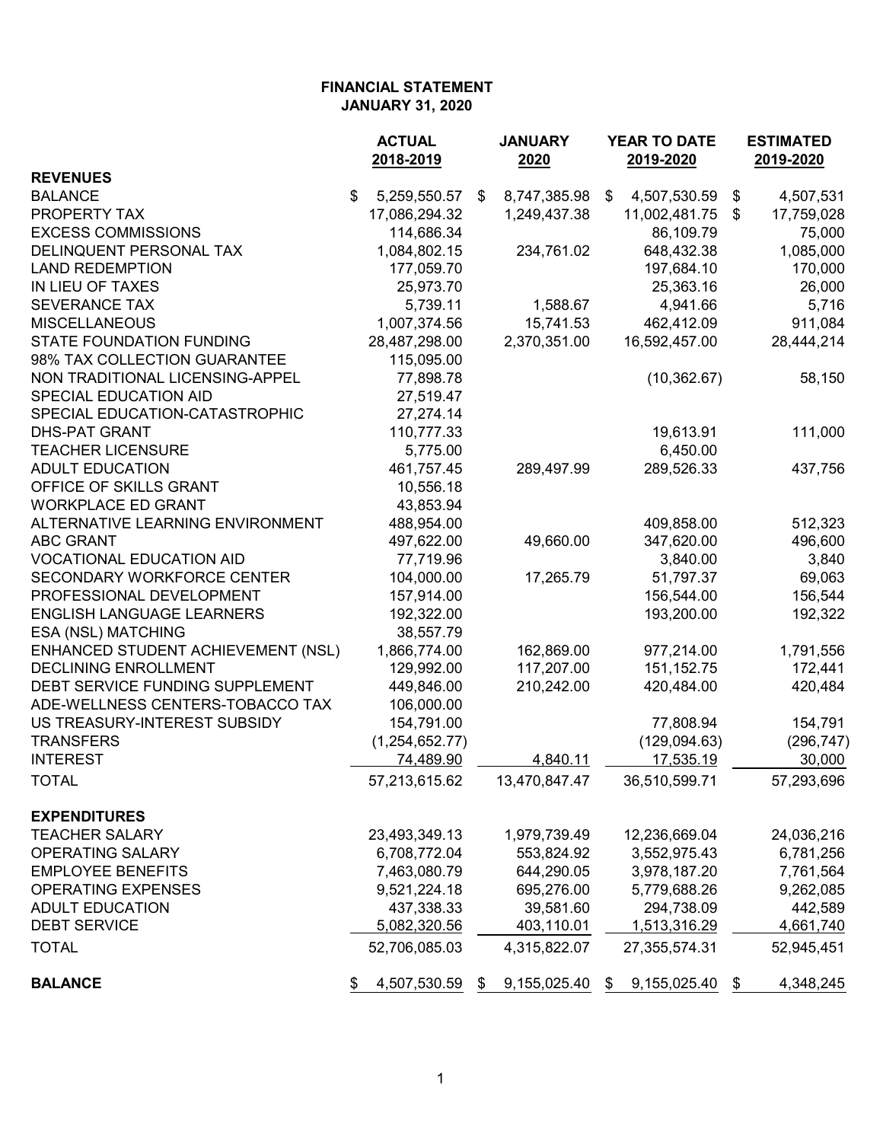|                                    | <b>ACTUAL</b><br><b>JANUARY</b> |    | <b>YEAR TO DATE</b> |                                     | <b>ESTIMATED</b> |                      |
|------------------------------------|---------------------------------|----|---------------------|-------------------------------------|------------------|----------------------|
| <b>REVENUES</b>                    | 2018-2019                       |    | 2020                | 2019-2020                           |                  | 2019-2020            |
|                                    |                                 |    |                     |                                     |                  |                      |
| <b>BALANCE</b><br>PROPERTY TAX     | \$<br>5,259,550.57              | \$ | 8,747,385.98        | \$<br>4,507,530.59<br>11,002,481.75 | \$               | 4,507,531            |
| <b>EXCESS COMMISSIONS</b>          | 17,086,294.32                   |    | 1,249,437.38        |                                     | \$               | 17,759,028<br>75,000 |
|                                    | 114,686.34                      |    |                     | 86,109.79                           |                  |                      |
| DELINQUENT PERSONAL TAX            | 1,084,802.15                    |    | 234,761.02          | 648,432.38                          |                  | 1,085,000            |
| <b>LAND REDEMPTION</b>             | 177,059.70                      |    |                     | 197,684.10                          |                  | 170,000              |
| IN LIEU OF TAXES                   | 25,973.70                       |    |                     | 25,363.16                           |                  | 26,000               |
| <b>SEVERANCE TAX</b>               | 5,739.11                        |    | 1,588.67            | 4,941.66                            |                  | 5,716                |
| <b>MISCELLANEOUS</b>               | 1,007,374.56                    |    | 15,741.53           | 462,412.09                          |                  | 911,084              |
| <b>STATE FOUNDATION FUNDING</b>    | 28,487,298.00                   |    | 2,370,351.00        | 16,592,457.00                       |                  | 28,444,214           |
| 98% TAX COLLECTION GUARANTEE       | 115,095.00                      |    |                     |                                     |                  |                      |
| NON TRADITIONAL LICENSING-APPEL    | 77,898.78                       |    |                     | (10, 362.67)                        |                  | 58,150               |
| SPECIAL EDUCATION AID              | 27,519.47                       |    |                     |                                     |                  |                      |
| SPECIAL EDUCATION-CATASTROPHIC     | 27,274.14                       |    |                     |                                     |                  |                      |
| <b>DHS-PAT GRANT</b>               | 110,777.33                      |    |                     | 19,613.91                           |                  | 111,000              |
| <b>TEACHER LICENSURE</b>           | 5,775.00                        |    |                     | 6,450.00                            |                  |                      |
| <b>ADULT EDUCATION</b>             | 461,757.45                      |    | 289,497.99          | 289,526.33                          |                  | 437,756              |
| OFFICE OF SKILLS GRANT             | 10,556.18                       |    |                     |                                     |                  |                      |
| <b>WORKPLACE ED GRANT</b>          | 43,853.94                       |    |                     |                                     |                  |                      |
| ALTERNATIVE LEARNING ENVIRONMENT   | 488,954.00                      |    |                     | 409,858.00                          |                  | 512,323              |
| <b>ABC GRANT</b>                   | 497,622.00                      |    | 49,660.00           | 347,620.00                          |                  | 496,600              |
| <b>VOCATIONAL EDUCATION AID</b>    | 77,719.96                       |    |                     | 3,840.00                            |                  | 3,840                |
| SECONDARY WORKFORCE CENTER         | 104,000.00                      |    | 17,265.79           | 51,797.37                           |                  | 69,063               |
| PROFESSIONAL DEVELOPMENT           | 157,914.00                      |    |                     | 156,544.00                          |                  | 156,544              |
| <b>ENGLISH LANGUAGE LEARNERS</b>   | 192,322.00                      |    |                     | 193,200.00                          |                  | 192,322              |
| ESA (NSL) MATCHING                 | 38,557.79                       |    |                     |                                     |                  |                      |
| ENHANCED STUDENT ACHIEVEMENT (NSL) | 1,866,774.00                    |    | 162,869.00          | 977,214.00                          |                  | 1,791,556            |
| <b>DECLINING ENROLLMENT</b>        | 129,992.00                      |    | 117,207.00          | 151, 152. 75                        |                  | 172,441              |
| DEBT SERVICE FUNDING SUPPLEMENT    | 449,846.00                      |    | 210,242.00          | 420,484.00                          |                  | 420,484              |
| ADE-WELLNESS CENTERS-TOBACCO TAX   | 106,000.00                      |    |                     |                                     |                  |                      |
| US TREASURY-INTEREST SUBSIDY       | 154,791.00                      |    |                     | 77,808.94                           |                  | 154,791              |
| <b>TRANSFERS</b>                   | (1,254,652.77)                  |    |                     | (129,094.63)                        |                  | (296, 747)           |
| <b>INTEREST</b>                    | 74,489.90                       |    | 4,840.11            | 17,535.19                           |                  | 30,000               |
| <b>TOTAL</b>                       | 57,213,615.62                   |    | 13,470,847.47       | 36,510,599.71                       |                  | 57,293,696           |
| <b>EXPENDITURES</b>                |                                 |    |                     |                                     |                  |                      |
| <b>TEACHER SALARY</b>              | 23,493,349.13                   |    | 1,979,739.49        | 12,236,669.04                       |                  | 24,036,216           |
| <b>OPERATING SALARY</b>            | 6,708,772.04                    |    | 553,824.92          | 3,552,975.43                        |                  | 6,781,256            |
| <b>EMPLOYEE BENEFITS</b>           | 7,463,080.79                    |    | 644,290.05          | 3,978,187.20                        |                  | 7,761,564            |
| <b>OPERATING EXPENSES</b>          | 9,521,224.18                    |    | 695,276.00          | 5,779,688.26                        |                  | 9,262,085            |
| <b>ADULT EDUCATION</b>             | 437,338.33                      |    | 39,581.60           | 294,738.09                          |                  | 442,589              |
| <b>DEBT SERVICE</b>                | 5,082,320.56                    |    | 403,110.01          | 1,513,316.29                        |                  | 4,661,740            |
| <b>TOTAL</b>                       | 52,706,085.03                   |    | 4,315,822.07        | 27,355,574.31                       |                  | 52,945,451           |
| <b>BALANCE</b>                     | 4,507,530.59                    | \$ | 9,155,025.40        | \$<br>9,155,025.40                  | \$               | 4,348,245            |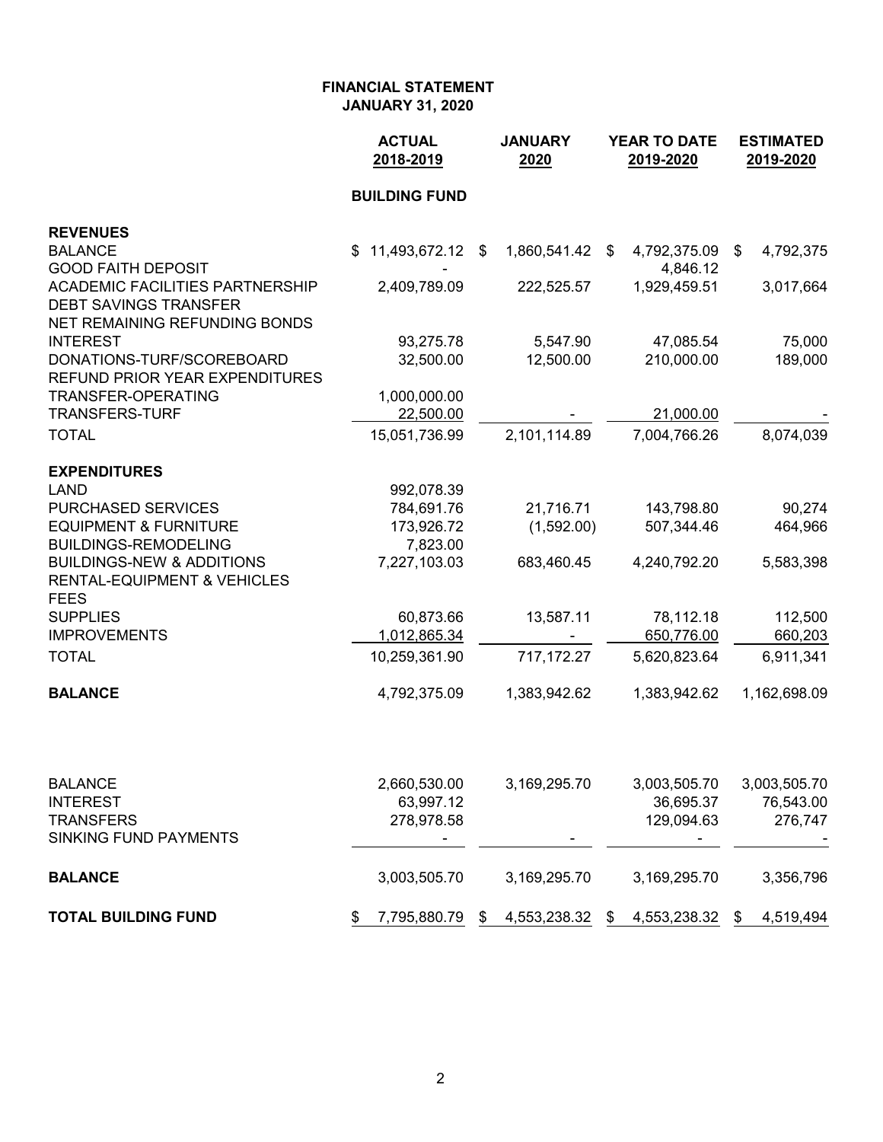|                                                                        | <b>ACTUAL</b><br>2018-2019 | <b>JANUARY</b><br>2020 |     | <b>YEAR TO DATE</b><br>2019-2020 | <b>ESTIMATED</b><br>2019-2020 |              |
|------------------------------------------------------------------------|----------------------------|------------------------|-----|----------------------------------|-------------------------------|--------------|
|                                                                        | <b>BUILDING FUND</b>       |                        |     |                                  |                               |              |
| <b>REVENUES</b>                                                        |                            |                        |     |                                  |                               |              |
| <b>BALANCE</b>                                                         | 11,493,672.12 \$<br>\$     | 1,860,541.42           | -\$ | 4,792,375.09                     | \$                            | 4,792,375    |
| <b>GOOD FAITH DEPOSIT</b>                                              |                            |                        |     | 4,846.12                         |                               |              |
| <b>ACADEMIC FACILITIES PARTNERSHIP</b><br><b>DEBT SAVINGS TRANSFER</b> | 2,409,789.09               | 222,525.57             |     | 1,929,459.51                     |                               | 3,017,664    |
| NET REMAINING REFUNDING BONDS                                          |                            |                        |     |                                  |                               |              |
| <b>INTEREST</b>                                                        | 93,275.78                  | 5,547.90               |     | 47,085.54                        |                               | 75,000       |
| DONATIONS-TURF/SCOREBOARD                                              | 32,500.00                  | 12,500.00              |     | 210,000.00                       |                               | 189,000      |
| <b>REFUND PRIOR YEAR EXPENDITURES</b>                                  |                            |                        |     |                                  |                               |              |
| <b>TRANSFER-OPERATING</b>                                              | 1,000,000.00               |                        |     |                                  |                               |              |
| <b>TRANSFERS-TURF</b>                                                  | 22,500.00                  |                        |     | 21,000.00                        |                               |              |
| <b>TOTAL</b>                                                           | 15,051,736.99              | 2,101,114.89           |     | 7,004,766.26                     |                               | 8,074,039    |
| <b>EXPENDITURES</b>                                                    |                            |                        |     |                                  |                               |              |
| <b>LAND</b>                                                            | 992,078.39                 |                        |     |                                  |                               |              |
| <b>PURCHASED SERVICES</b>                                              | 784,691.76                 | 21,716.71              |     | 143,798.80                       |                               | 90,274       |
| <b>EQUIPMENT &amp; FURNITURE</b>                                       | 173,926.72                 | (1,592.00)             |     | 507,344.46                       |                               | 464,966      |
| <b>BUILDINGS-REMODELING</b>                                            | 7,823.00                   |                        |     |                                  |                               |              |
| <b>BUILDINGS-NEW &amp; ADDITIONS</b>                                   | 7,227,103.03               | 683,460.45             |     | 4,240,792.20                     |                               | 5,583,398    |
| <b>RENTAL-EQUIPMENT &amp; VEHICLES</b><br><b>FEES</b>                  |                            |                        |     |                                  |                               |              |
| <b>SUPPLIES</b>                                                        | 60,873.66                  | 13,587.11              |     | 78,112.18                        |                               | 112,500      |
| <b>IMPROVEMENTS</b>                                                    | 1,012,865.34               |                        |     | 650,776.00                       |                               | 660,203      |
| <b>TOTAL</b>                                                           | 10,259,361.90              | 717,172.27             |     | 5,620,823.64                     |                               | 6,911,341    |
| <b>BALANCE</b>                                                         | 4,792,375.09               | 1,383,942.62           |     | 1,383,942.62                     |                               | 1,162,698.09 |
|                                                                        |                            |                        |     |                                  |                               |              |
| <b>BALANCE</b>                                                         | 2,660,530.00               | 3,169,295.70           |     | 3,003,505.70                     |                               | 3,003,505.70 |
| <b>INTEREST</b>                                                        | 63,997.12                  |                        |     | 36,695.37                        |                               | 76,543.00    |
| <b>TRANSFERS</b>                                                       | 278,978.58                 |                        |     | 129,094.63                       |                               | 276,747      |
| <b>SINKING FUND PAYMENTS</b>                                           |                            |                        |     |                                  |                               |              |
| <b>BALANCE</b>                                                         | 3,003,505.70               | 3,169,295.70           |     | 3,169,295.70                     |                               | 3,356,796    |
| <b>TOTAL BUILDING FUND</b>                                             | 7,795,880.79<br>\$         | \$<br>4,553,238.32     | \$  | 4,553,238.32                     | \$                            | 4,519,494    |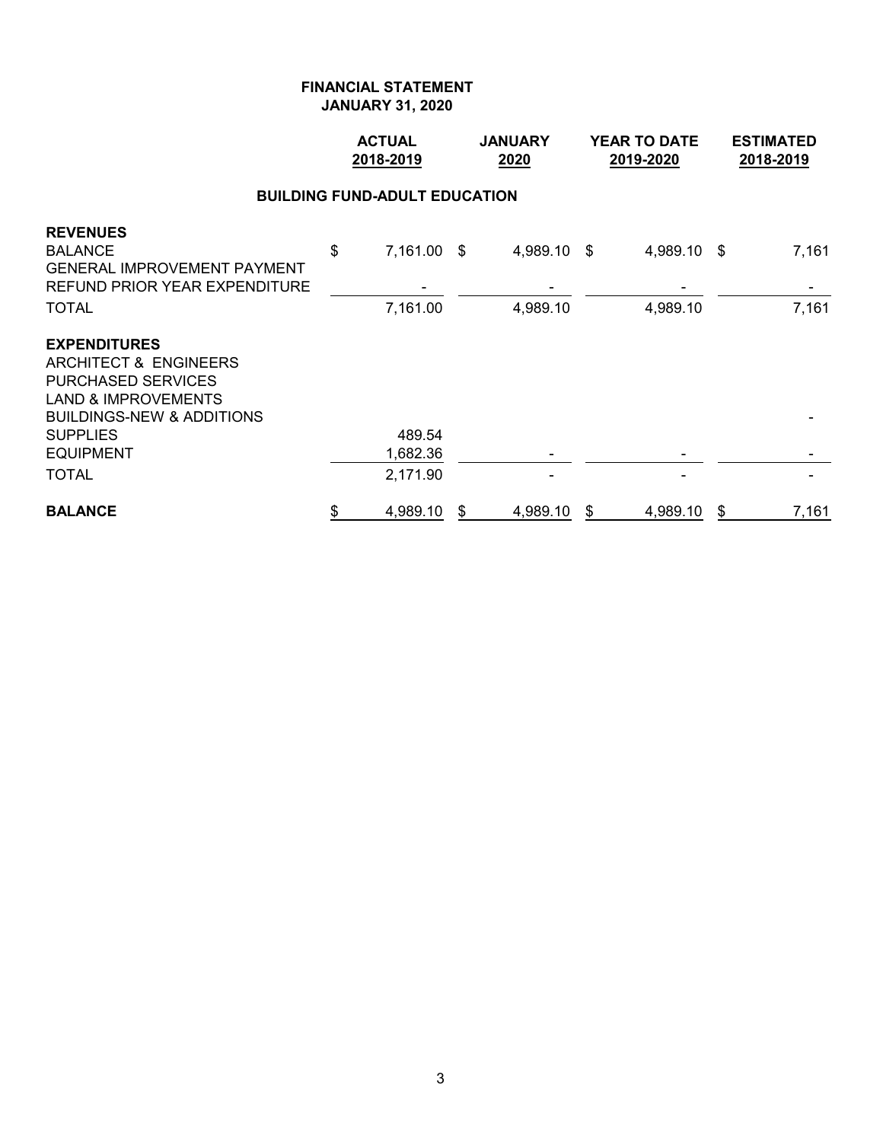|                                                                                                                                                                                | <b>ACTUAL</b><br>2018-2019 |                                      |   | <b>JANUARY</b><br>2020 | <b>YEAR TO DATE</b><br>2019-2020 | <b>ESTIMATED</b><br>2018-2019 |
|--------------------------------------------------------------------------------------------------------------------------------------------------------------------------------|----------------------------|--------------------------------------|---|------------------------|----------------------------------|-------------------------------|
|                                                                                                                                                                                |                            | <b>BUILDING FUND-ADULT EDUCATION</b> |   |                        |                                  |                               |
| <b>REVENUES</b><br><b>BALANCE</b><br>GENERAL IMPROVEMENT PAYMENT<br>REFUND PRIOR YEAR EXPENDITURE                                                                              | \$                         | 7,161.00 \$                          |   | 4,989.10 \$            | 4,989.10 \$                      | 7,161                         |
| TOTAL                                                                                                                                                                          |                            | 7,161.00                             |   | 4,989.10               | 4,989.10                         | 7,161                         |
| <b>EXPENDITURES</b><br>ARCHITECT & ENGINEERS<br>PURCHASED SERVICES<br><b>LAND &amp; IMPROVEMENTS</b><br><b>BUILDINGS-NEW &amp; ADDITIONS</b><br>SUPPLIES<br>EQUIPMENT<br>TOTAL |                            | 489.54<br>1,682.36<br>2,171.90       |   |                        |                                  |                               |
| <b>BALANCE</b>                                                                                                                                                                 | \$                         | 4,989.10                             | S | 4,989.10               | \$<br>4,989.10                   | \$<br>7,161                   |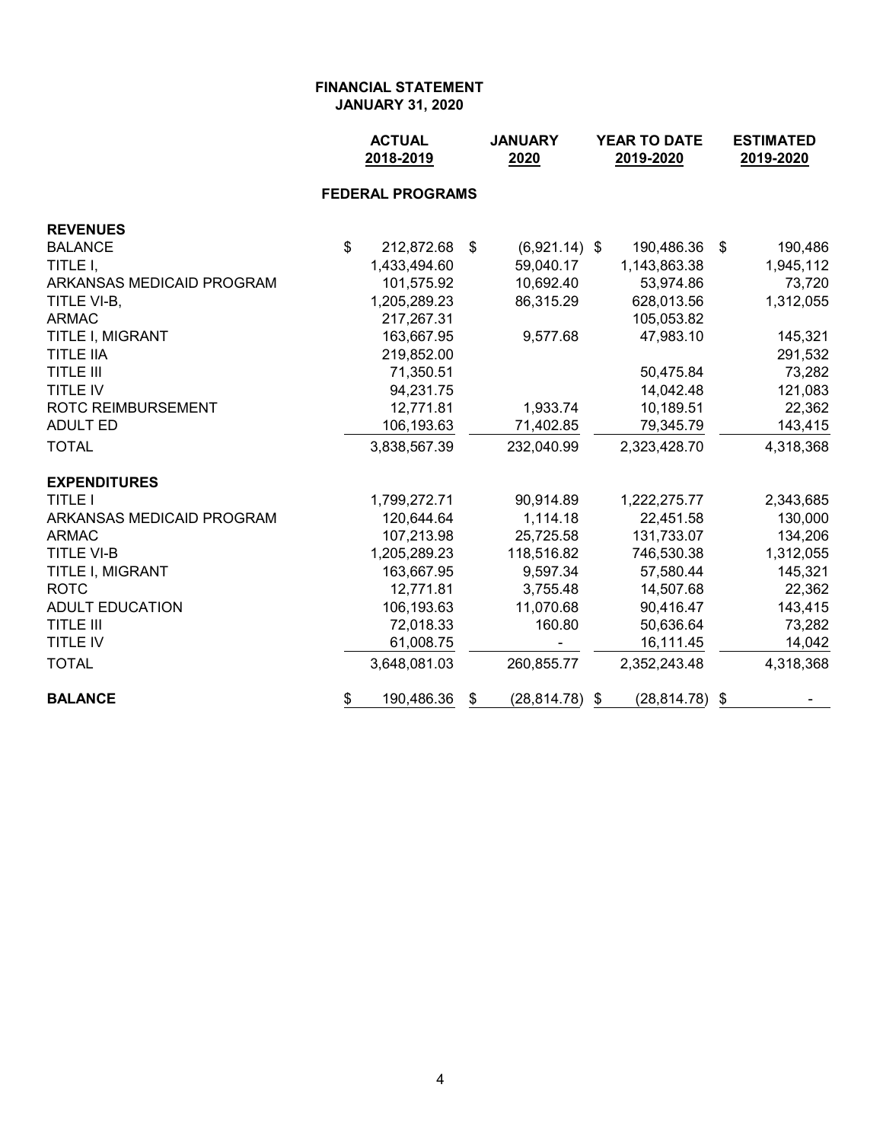|                           | <b>ACTUAL</b><br>2018-2019 |            | <b>JANUARY</b><br>2020 | YEAR TO DATE<br>2019-2020 | <b>ESTIMATED</b><br>2019-2020 |  |
|---------------------------|----------------------------|------------|------------------------|---------------------------|-------------------------------|--|
|                           | <b>FEDERAL PROGRAMS</b>    |            |                        |                           |                               |  |
| <b>REVENUES</b>           |                            |            |                        |                           |                               |  |
| <b>BALANCE</b>            | \$<br>212,872.68           | $\sqrt{3}$ | $(6,921.14)$ \$        | 190,486.36                | \$<br>190,486                 |  |
| TITLE I,                  | 1,433,494.60               |            | 59,040.17              | 1,143,863.38              | 1,945,112                     |  |
| ARKANSAS MEDICAID PROGRAM | 101,575.92                 |            | 10,692.40              | 53,974.86                 | 73,720                        |  |
| TITLE VI-B,               | 1,205,289.23               |            | 86,315.29              | 628,013.56                | 1,312,055                     |  |
| <b>ARMAC</b>              | 217,267.31                 |            |                        | 105,053.82                |                               |  |
| TITLE I, MIGRANT          | 163,667.95                 |            | 9,577.68               | 47,983.10                 | 145,321                       |  |
| <b>TITLE IIA</b>          | 219,852.00                 |            |                        |                           | 291,532                       |  |
| <b>TITLE III</b>          | 71,350.51                  |            |                        | 50,475.84                 | 73,282                        |  |
| TITLE IV                  | 94,231.75                  |            |                        | 14,042.48                 | 121,083                       |  |
| <b>ROTC REIMBURSEMENT</b> | 12,771.81                  |            | 1,933.74               | 10,189.51                 | 22,362                        |  |
| <b>ADULT ED</b>           | 106,193.63                 |            | 71,402.85              | 79,345.79                 | 143,415                       |  |
| <b>TOTAL</b>              | 3,838,567.39               |            | 232,040.99             | 2,323,428.70              | 4,318,368                     |  |
| <b>EXPENDITURES</b>       |                            |            |                        |                           |                               |  |
| <b>TITLE I</b>            | 1,799,272.71               |            | 90,914.89              | 1,222,275.77              | 2,343,685                     |  |
| ARKANSAS MEDICAID PROGRAM | 120,644.64                 |            | 1,114.18               | 22,451.58                 | 130,000                       |  |
| <b>ARMAC</b>              | 107,213.98                 |            | 25,725.58              | 131,733.07                | 134,206                       |  |
| <b>TITLE VI-B</b>         | 1,205,289.23               |            | 118,516.82             | 746,530.38                | 1,312,055                     |  |
| TITLE I, MIGRANT          | 163,667.95                 |            | 9,597.34               | 57,580.44                 | 145,321                       |  |
| <b>ROTC</b>               | 12,771.81                  |            | 3,755.48               | 14,507.68                 | 22,362                        |  |
| <b>ADULT EDUCATION</b>    | 106,193.63                 |            | 11,070.68              | 90,416.47                 | 143,415                       |  |
| <b>TITLE III</b>          | 72,018.33                  |            | 160.80                 | 50,636.64                 | 73,282                        |  |
| TITLE IV                  | 61,008.75                  |            |                        | 16,111.45                 | 14,042                        |  |
| <b>TOTAL</b>              | 3,648,081.03               |            | 260,855.77             | 2,352,243.48              | 4,318,368                     |  |
| <b>BALANCE</b>            | \$<br>190,486.36           | S          | $(28, 814.78)$ \$      | $(28, 814.78)$ \$         |                               |  |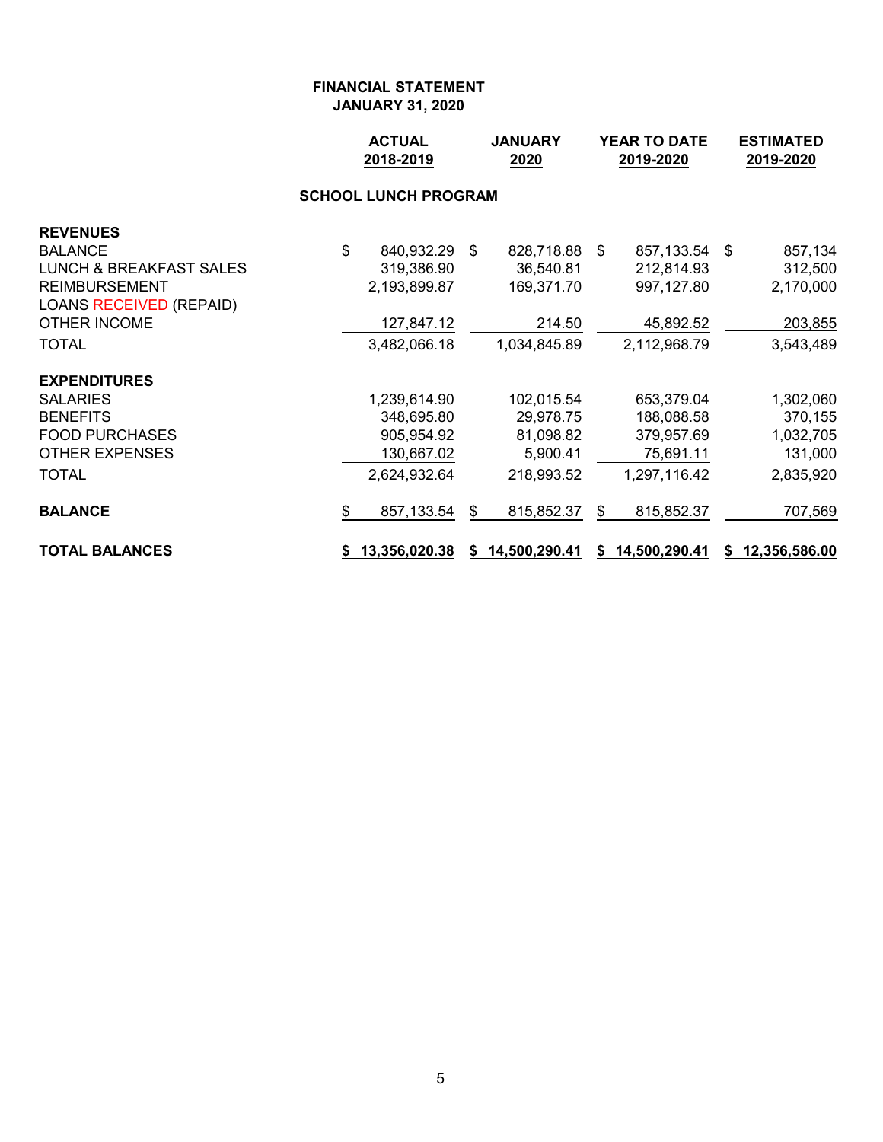|                                    | <b>ACTUAL</b><br><b>JANUARY</b><br>2018-2019<br>2020 |    |                 | <b>YEAR TO DATE</b><br>2019-2020 |                 |  | <b>ESTIMATED</b><br>2019-2020 |
|------------------------------------|------------------------------------------------------|----|-----------------|----------------------------------|-----------------|--|-------------------------------|
|                                    |                                                      |    |                 |                                  |                 |  |                               |
| <b>REVENUES</b>                    |                                                      |    |                 |                                  |                 |  |                               |
| <b>BALANCE</b>                     | \$<br>840,932.29 \$                                  |    | 828,718.88 \$   |                                  | 857,133.54 \$   |  | 857,134                       |
| <b>LUNCH &amp; BREAKFAST SALES</b> | 319,386.90                                           |    | 36,540.81       |                                  | 212,814.93      |  | 312,500                       |
| <b>REIMBURSEMENT</b>               | 2,193,899.87                                         |    | 169,371.70      |                                  | 997,127.80      |  | 2,170,000                     |
| <b>LOANS RECEIVED (REPAID)</b>     |                                                      |    |                 |                                  |                 |  |                               |
| <b>OTHER INCOME</b>                | 127,847.12                                           |    | 214.50          |                                  | 45,892.52       |  | 203,855                       |
| <b>TOTAL</b>                       | 3,482,066.18                                         |    | 1,034,845.89    |                                  | 2,112,968.79    |  | 3,543,489                     |
| <b>EXPENDITURES</b>                |                                                      |    |                 |                                  |                 |  |                               |
| <b>SALARIES</b>                    | 1,239,614.90                                         |    | 102,015.54      |                                  | 653,379.04      |  | 1,302,060                     |
| <b>BENEFITS</b>                    | 348,695.80                                           |    | 29,978.75       |                                  | 188,088.58      |  | 370,155                       |
| <b>FOOD PURCHASES</b>              | 905,954.92                                           |    | 81,098.82       |                                  | 379,957.69      |  | 1,032,705                     |
| <b>OTHER EXPENSES</b>              | 130,667.02                                           |    | 5,900.41        |                                  | 75,691.11       |  | 131,000                       |
| <b>TOTAL</b>                       | 2,624,932.64                                         |    | 218,993.52      |                                  | 1,297,116.42    |  | 2,835,920                     |
| <b>BALANCE</b>                     | \$<br>857,133.54                                     | S. | 815,852.37      | \$                               | 815,852.37      |  | 707,569                       |
| <b>TOTAL BALANCES</b>              | \$13,356,020.38                                      |    | \$14,500,290.41 |                                  | \$14,500,290.41 |  | \$12,356,586.00               |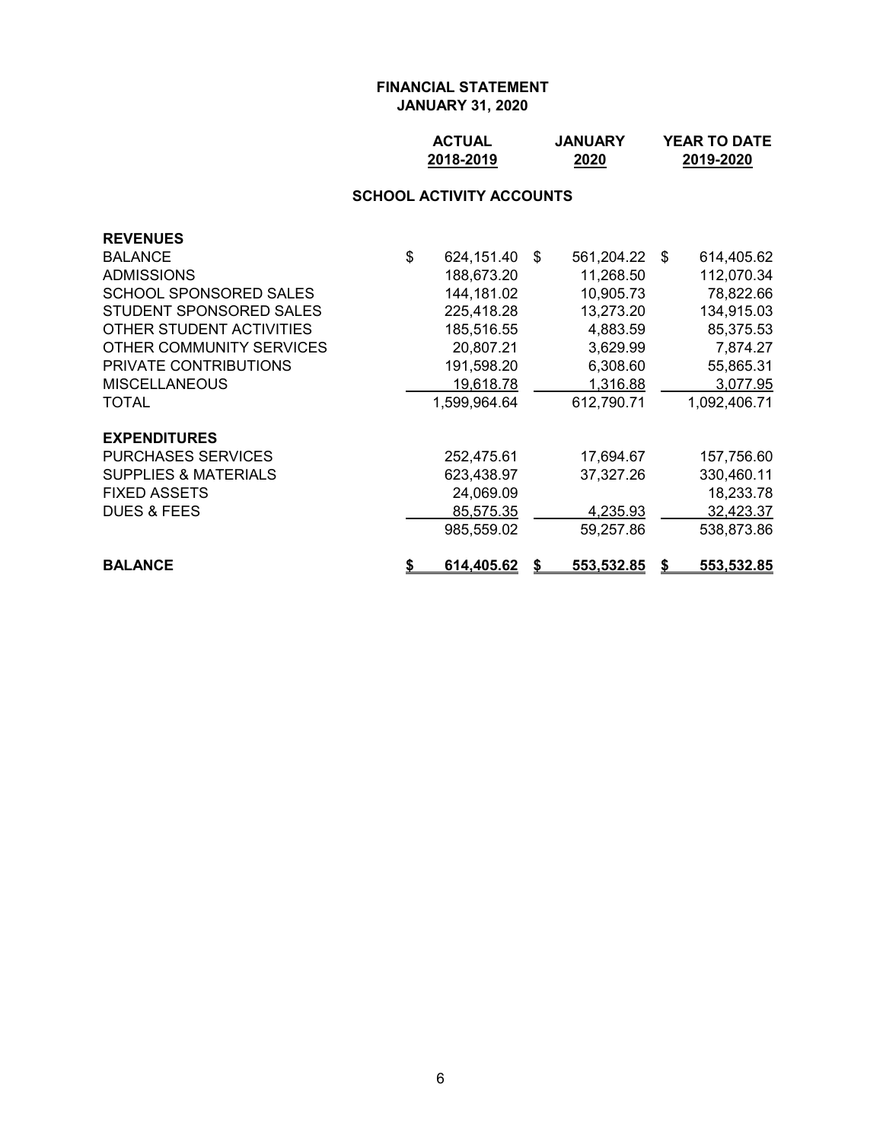| <b>ACTUAL</b> | <b>JANUARY</b> | <b>YEAR TO DATE</b> |
|---------------|----------------|---------------------|
| 2018-2019     | 2020           | 2019-2020           |

# **SCHOOL ACTIVITY ACCOUNTS**

| <b>REVENUES</b>                 |                         |    |                   |    |                   |
|---------------------------------|-------------------------|----|-------------------|----|-------------------|
| <b>BALANCE</b>                  | \$<br>624,151.40        | -S | 561,204.22        | -S | 614,405.62        |
| <b>ADMISSIONS</b>               | 188,673.20              |    | 11,268.50         |    | 112,070.34        |
| <b>SCHOOL SPONSORED SALES</b>   | 144,181.02              |    | 10,905.73         |    | 78,822.66         |
| STUDENT SPONSORED SALES         | 225,418.28              |    | 13,273.20         |    | 134,915.03        |
| OTHER STUDENT ACTIVITIES        | 185,516.55              |    | 4,883.59          |    | 85,375.53         |
| OTHER COMMUNITY SERVICES        | 20,807.21               |    | 3,629.99          |    | 7,874.27          |
| PRIVATE CONTRIBUTIONS           | 191,598.20              |    | 6,308.60          |    | 55,865.31         |
| <b>MISCELLANEOUS</b>            | 19,618.78               |    | 1,316.88          |    | 3,077.95          |
| TOTAL                           | 1,599,964.64            |    | 612,790.71        |    | 1,092,406.71      |
| <b>EXPENDITURES</b>             |                         |    |                   |    |                   |
| <b>PURCHASES SERVICES</b>       | 252,475.61              |    | 17,694.67         |    | 157,756.60        |
| <b>SUPPLIES &amp; MATERIALS</b> | 623,438.97              |    | 37,327.26         |    | 330,460.11        |
| <b>FIXED ASSETS</b>             | 24,069.09               |    |                   |    | 18,233.78         |
| <b>DUES &amp; FEES</b>          | 85,575.35               |    | 4,235.93          |    | 32,423.37         |
|                                 | 985,559.02              |    | 59,257.86         |    | 538,873.86        |
| <b>BALANCE</b>                  | \$<br><u>614,405.62</u> | S  | <u>553,532.85</u> | S  | <u>553,532.85</u> |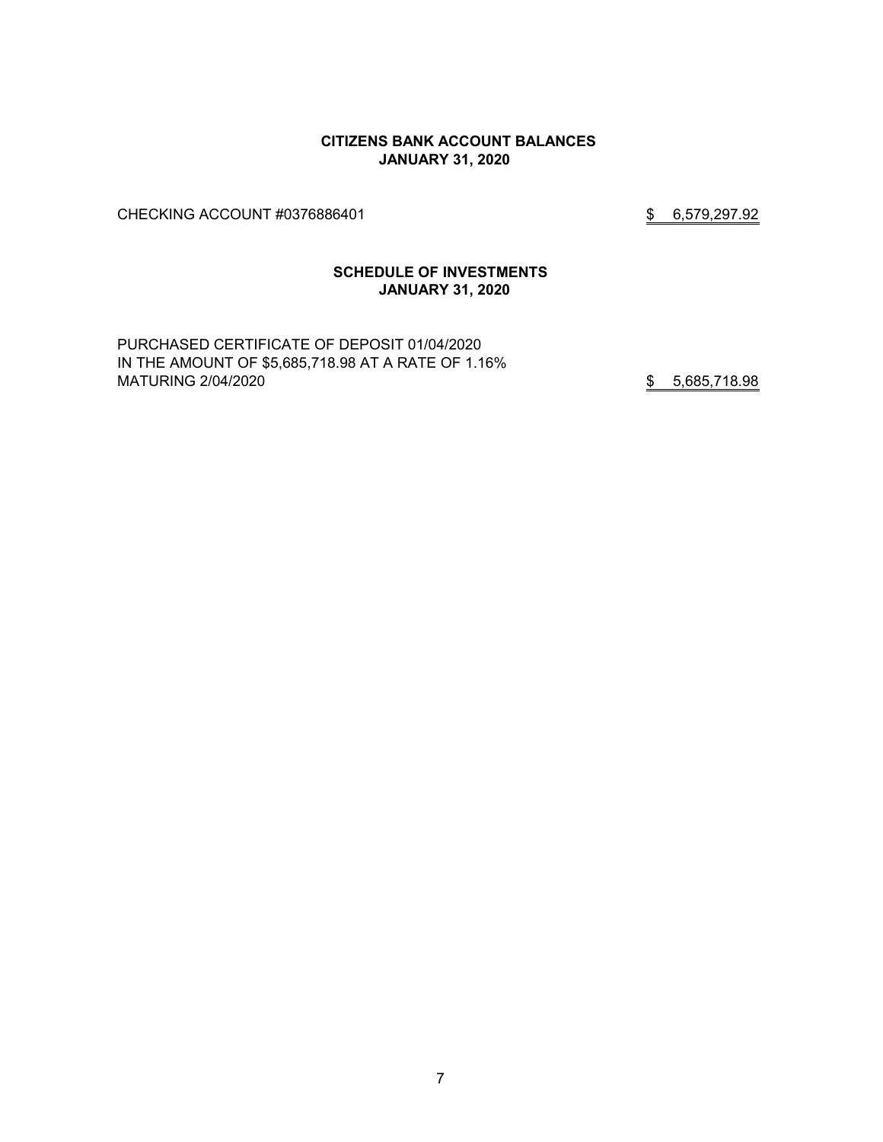### **CITIZENS BANK ACCOUNT BALANCES JANUARY 31, 2020**

CHECKING ACCOUNT #0376886401 \$ 6,579,297.92

### **SCHEDULE OF INVESTMENTS JANUARY 31, 2020**

PURCHASED CERTIFICATE OF DEPOSIT 01/04/2020 IN THE AMOUNT OF \$5,685,718.98 AT A RATE OF 1.16% MATURING 2/04/2020 **\$** 5,685,718.98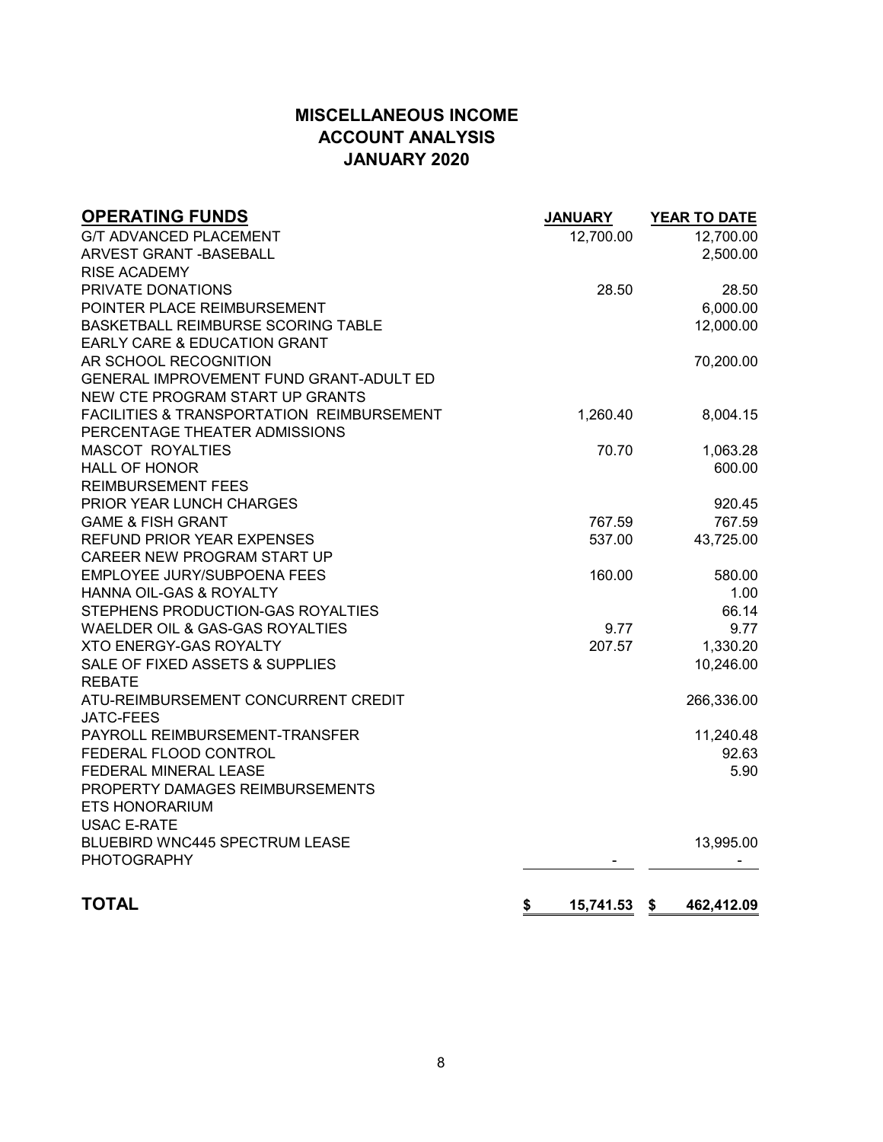# **MISCELLANEOUS INCOME ACCOUNT ANALYSIS JANUARY 2020**

| <b>OPERATING FUNDS</b><br><b>G/T ADVANCED PLACEMENT</b> | <b>JANUARY</b><br>12,700.00 | YEAR TO DATE<br>12,700.00 |
|---------------------------------------------------------|-----------------------------|---------------------------|
| ARVEST GRANT - BASEBALL<br><b>RISE ACADEMY</b>          |                             | 2,500.00                  |
| PRIVATE DONATIONS                                       | 28.50                       | 28.50                     |
| POINTER PLACE REIMBURSEMENT                             |                             | 6,000.00                  |
| BASKETBALL REIMBURSE SCORING TABLE                      |                             | 12,000.00                 |
| <b>EARLY CARE &amp; EDUCATION GRANT</b>                 |                             |                           |
| AR SCHOOL RECOGNITION                                   |                             | 70,200.00                 |
| GENERAL IMPROVEMENT FUND GRANT-ADULT ED                 |                             |                           |
| NEW CTE PROGRAM START UP GRANTS                         |                             |                           |
| <b>FACILITIES &amp; TRANSPORTATION REIMBURSEMENT</b>    | 1,260.40                    | 8,004.15                  |
| PERCENTAGE THEATER ADMISSIONS                           |                             |                           |
| <b>MASCOT ROYALTIES</b>                                 | 70.70                       | 1,063.28                  |
| <b>HALL OF HONOR</b>                                    |                             | 600.00                    |
| <b>REIMBURSEMENT FEES</b>                               |                             |                           |
| PRIOR YEAR LUNCH CHARGES                                |                             | 920.45                    |
| <b>GAME &amp; FISH GRANT</b>                            | 767.59                      | 767.59                    |
| <b>REFUND PRIOR YEAR EXPENSES</b>                       | 537.00                      | 43,725.00                 |
| CAREER NEW PROGRAM START UP                             |                             |                           |
| <b>EMPLOYEE JURY/SUBPOENA FEES</b>                      | 160.00                      | 580.00                    |
| HANNA OIL-GAS & ROYALTY                                 |                             | 1.00                      |
| STEPHENS PRODUCTION-GAS ROYALTIES                       |                             | 66.14                     |
| WAELDER OIL & GAS-GAS ROYALTIES                         | 9.77                        | 9.77                      |
| XTO ENERGY-GAS ROYALTY                                  | 207.57                      | 1,330.20                  |
| SALE OF FIXED ASSETS & SUPPLIES<br><b>REBATE</b>        |                             | 10,246.00                 |
| ATU-REIMBURSEMENT CONCURRENT CREDIT                     |                             | 266,336.00                |
| <b>JATC-FEES</b>                                        |                             |                           |
| PAYROLL REIMBURSEMENT-TRANSFER                          |                             | 11,240.48                 |
| FEDERAL FLOOD CONTROL                                   |                             | 92.63                     |
| FEDERAL MINERAL LEASE                                   |                             | 5.90                      |
| PROPERTY DAMAGES REIMBURSEMENTS                         |                             |                           |
| <b>ETS HONORARIUM</b>                                   |                             |                           |
| <b>USAC E-RATE</b>                                      |                             |                           |
| <b>BLUEBIRD WNC445 SPECTRUM LEASE</b>                   |                             | 13,995.00                 |
| <b>PHOTOGRAPHY</b>                                      |                             |                           |
| <b>TOTAL</b><br>\$                                      | 15,741.53                   | \$<br>462,412.09          |